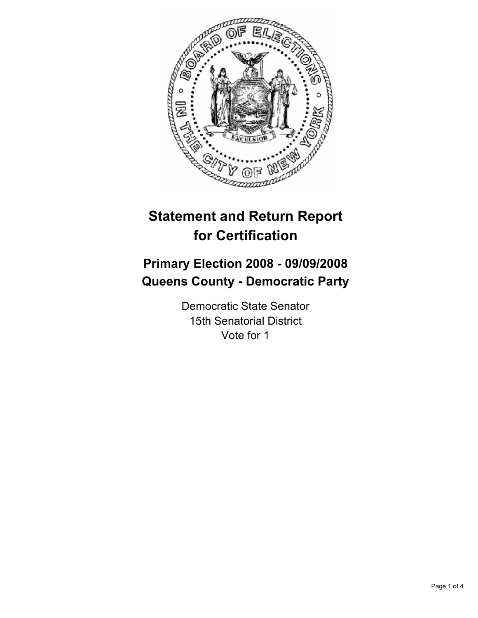

# **Statement and Return Report for Certification**

# **Primary Election 2008 - 09/09/2008 Queens County - Democratic Party**

Democratic State Senator 15th Senatorial District Vote for 1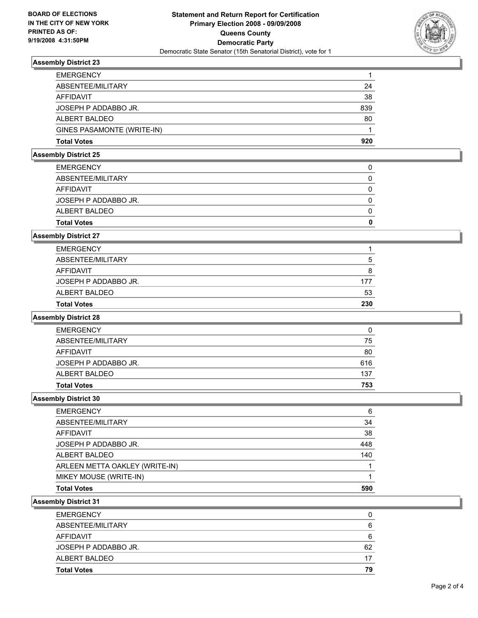

# **Assembly District 23**

| <b>EMERGENCY</b>           |     |
|----------------------------|-----|
| ABSENTEE/MILITARY          | 24  |
| AFFIDAVIT                  | 38  |
| JOSEPH P ADDABBO JR.       | 839 |
| ALBERT BALDEO              | 80  |
| GINES PASAMONTE (WRITE-IN) |     |
| <b>Total Votes</b>         | 920 |

## **Assembly District 25**

| <b>EMERGENCY</b>     |  |
|----------------------|--|
| ABSENTEE/MILITARY    |  |
| AFFIDAVIT            |  |
| JOSEPH P ADDABBO JR. |  |
| ALBERT BALDEO        |  |
| <b>Total Votes</b>   |  |

# **Assembly District 27**

| <b>Total Votes</b>   | 230 |
|----------------------|-----|
| ALBERT BALDEO        | 53  |
| JOSEPH P ADDABBO JR. | 177 |
| AFFIDAVIT            | 8   |
| ABSENTEE/MILITARY    |     |
| <b>EMERGENCY</b>     |     |

# **Assembly District 28**

| <b>EMERGENCY</b>     |     |
|----------------------|-----|
| ABSENTEE/MILITARY    | 75  |
| AFFIDAVIT            | 80  |
| JOSEPH P ADDABBO JR. | 616 |
| ALBERT BALDEO        | 137 |
| <b>Total Votes</b>   | 753 |

## **Assembly District 30**

| <b>EMERGENCY</b>               | 6   |
|--------------------------------|-----|
| ABSENTEE/MILITARY              | 34  |
| <b>AFFIDAVIT</b>               | 38  |
| JOSEPH P ADDABBO JR.           | 448 |
| ALBERT BALDEO                  | 140 |
| ARLEEN METTA OAKLEY (WRITE-IN) |     |
| MIKEY MOUSE (WRITE-IN)         |     |
| <b>Total Votes</b>             | 590 |

## **Assembly District 31**

| <b>Total Votes</b>   | 79 |
|----------------------|----|
| ALBERT BALDEO        | 17 |
| JOSEPH P ADDABBO JR. | 62 |
| AFFIDAVIT            | 6  |
| ABSENTEE/MILITARY    | 6  |
| <b>EMERGENCY</b>     |    |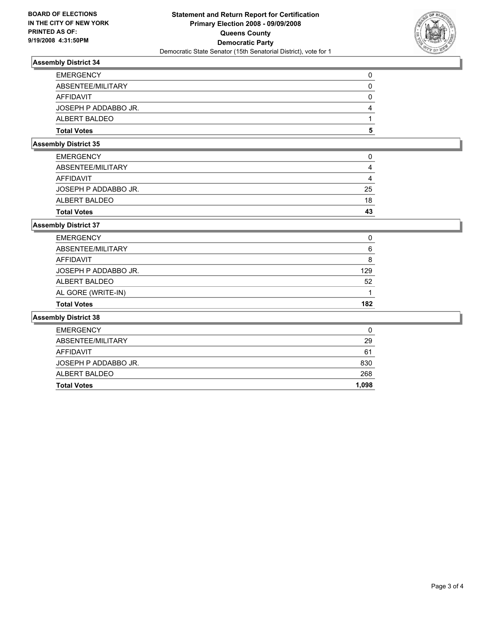

# **Assembly District 34**

| <b>EMERGENCY</b>     |  |
|----------------------|--|
| ABSENTEE/MILITARY    |  |
| AFFIDAVIT            |  |
| JOSEPH P ADDABBO JR. |  |
| ALBERT BALDEO        |  |
| <b>Total Votes</b>   |  |

# **Assembly District 35**

| <b>Total Votes</b>   | 43 |
|----------------------|----|
| ALBERT BALDEO        | 18 |
| JOSEPH P ADDABBO JR. | 25 |
| AFFIDAVIT            |    |
| ABSENTEE/MILITARY    |    |
| <b>EMERGENCY</b>     |    |

# **Assembly District 37**

| <b>Total Votes</b>   | 182 |
|----------------------|-----|
| AL GORE (WRITE-IN)   |     |
| ALBERT BALDEO        | 52  |
| JOSEPH P ADDABBO JR. | 129 |
| AFFIDAVIT            |     |
| ABSENTEE/MILITARY    | 6   |
| <b>EMERGENCY</b>     | -0  |

## **Assembly District 38**

| <b>Total Votes</b>   | 1,098 |
|----------------------|-------|
| ALBERT BALDEO        | 268   |
| JOSEPH P ADDABBO JR. | 830   |
| AFFIDAVIT            | 61    |
| ABSENTEE/MILITARY    | 29    |
| <b>EMERGENCY</b>     | 0     |